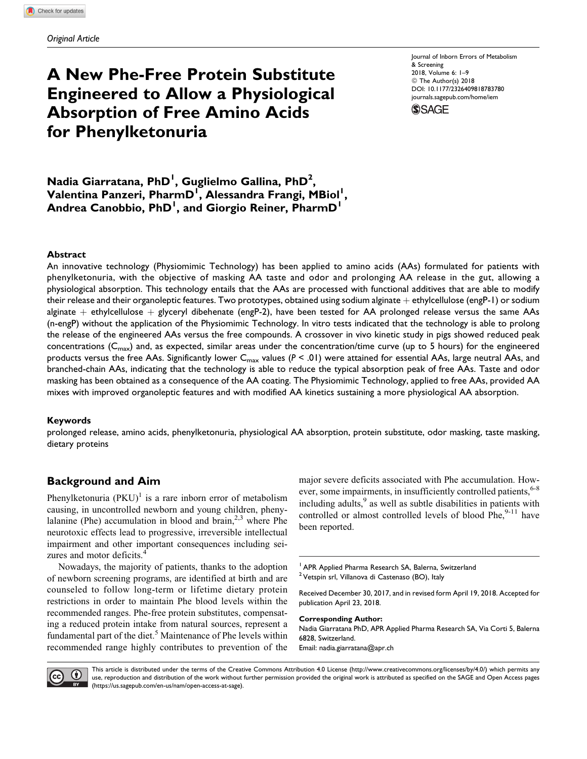# A New Phe-Free Protein Substitute Engineered to Allow a Physiological Absorption of Free Amino Acids for Phenylketonuria

Journal of Inborn Errors of Metabolism & Screening 2018, Volume 6: 1–9 © The Author(s) 2018 [DOI: 10.1177/2326409818783780](https://doi.org/10.1177/2326409818783780) [journals.sagepub.com/home/iem](http://journals.sagepub.com/home/iem)



Nadia Giarratana, PhD<sup>1</sup>, Guglielmo Gallina, PhD<sup>2</sup>, Valentina Panzeri, PharmD<sup>1</sup>, Alessandra Frangi, MBiol<sup>1</sup>, Andrea Canobbio, PhD<sup>1</sup>, and Giorgio Reiner, PharmD<sup>1</sup>

#### Abstract

An innovative technology (Physiomimic Technology) has been applied to amino acids (AAs) formulated for patients with phenylketonuria, with the objective of masking AA taste and odor and prolonging AA release in the gut, allowing a physiological absorption. This technology entails that the AAs are processed with functional additives that are able to modify their release and their organoleptic features. Two prototypes, obtained using sodium alginate  $+$  ethylcellulose (engP-1) or sodium alginate  $+$  ethylcellulose  $+$  glyceryl dibehenate (engP-2), have been tested for AA prolonged release versus the same AAs (n-engP) without the application of the Physiomimic Technology. In vitro tests indicated that the technology is able to prolong the release of the engineered AAs versus the free compounds. A crossover in vivo kinetic study in pigs showed reduced peak concentrations ( $C_{\text{max}}$ ) and, as expected, similar areas under the concentration/time curve (up to 5 hours) for the engineered products versus the free AAs. Significantly lower  $C_{max}$  values ( $P < .01$ ) were attained for essential AAs, large neutral AAs, and branched-chain AAs, indicating that the technology is able to reduce the typical absorption peak of free AAs. Taste and odor masking has been obtained as a consequence of the AA coating. The Physiomimic Technology, applied to free AAs, provided AA mixes with improved organoleptic features and with modified AA kinetics sustaining a more physiological AA absorption.

#### Keywords

prolonged release, amino acids, phenylketonuria, physiological AA absorption, protein substitute, odor masking, taste masking, dietary proteins

# Background and Aim

Phenylketonuria  $(PKU)^{1}$  is a rare inborn error of metabolism causing, in uncontrolled newborn and young children, phenylalanine (Phe) accumulation in blood and brain, $2,3$  where Phe neurotoxic effects lead to progressive, irreversible intellectual impairment and other important consequences including seizures and motor deficits.<sup>4</sup>

Nowadays, the majority of patients, thanks to the adoption of newborn screening programs, are identified at birth and are counseled to follow long-term or lifetime dietary protein restrictions in order to maintain Phe blood levels within the recommended ranges. Phe-free protein substitutes, compensating a reduced protein intake from natural sources, represent a fundamental part of the diet.<sup>5</sup> Maintenance of Phe levels within recommended range highly contributes to prevention of the

major severe deficits associated with Phe accumulation. However, some impairments, in insufficiently controlled patients, <sup>6-8</sup> including adults, $9$  as well as subtle disabilities in patients with controlled or almost controlled levels of blood Phe, $9-11$  have been reported.

<sup>2</sup> Vetspin srl, Villanova di Castenaso (BO), Italy

Received December 30, 2017, and in revised form April 19, 2018. Accepted for publication April 23, 2018.

Corresponding Author: Nadia Giarratana PhD, APR Applied Pharma Research SA, Via Corti 5, Balerna 6828, Switzerland. Email: [nadia.giarratana@apr.ch](mailto:nadia.giarratana@apr.ch)



This article is distributed under the terms of the Creative Commons Attribution 4.0 License (<http://www.creativecommons.org/licenses/by/4.0/>) which permits any use, reproduction and distribution of the work without further permission provided the original work is attributed as specified on the SAGE and Open Access pages [\(https://us.sagepub.com/en-us/nam/open-access-at-sage\)](https://us.sagepub.com/en-us/nam/open-access-at-sage).

<sup>&</sup>lt;sup>1</sup> APR Applied Pharma Research SA, Balerna, Switzerland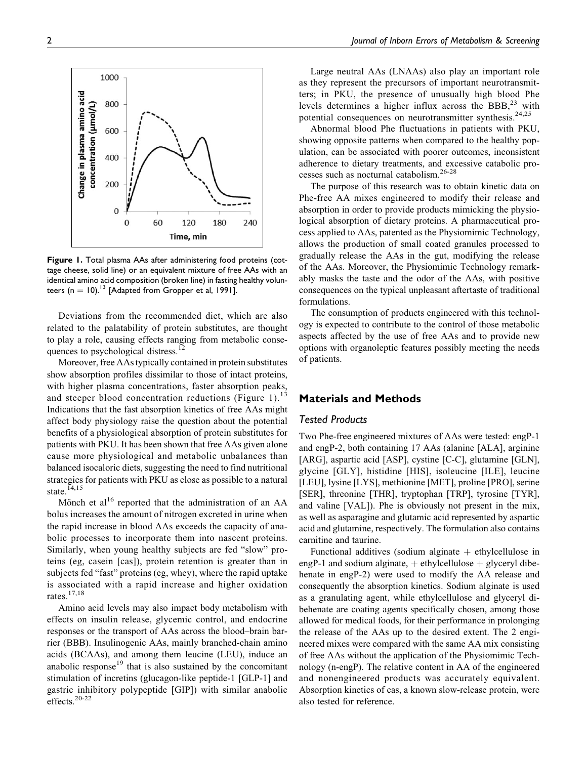Figure 1. Total plasma AAs after administering food proteins (cottage cheese, solid line) or an equivalent mixture of free AAs with an identical amino acid composition (broken line) in fasting healthy volunteers (n = 10).<sup>13</sup> [Adapted from Gropper et al, 1991].

Deviations from the recommended diet, which are also related to the palatability of protein substitutes, are thought to play a role, causing effects ranging from metabolic consequences to psychological distress.<sup>12</sup>

Moreover, free AAs typically contained in protein substitutes show absorption profiles dissimilar to those of intact proteins, with higher plasma concentrations, faster absorption peaks, and steeper blood concentration reductions (Figure 1).<sup>13</sup> Indications that the fast absorption kinetics of free AAs might affect body physiology raise the question about the potential benefits of a physiological absorption of protein substitutes for patients with PKU. It has been shown that free AAs given alone cause more physiological and metabolic unbalances than balanced isocaloric diets, suggesting the need to find nutritional strategies for patients with PKU as close as possible to a natural state.<sup>14,15</sup>

Mönch et al<sup>16</sup> reported that the administration of an AA bolus increases the amount of nitrogen excreted in urine when the rapid increase in blood AAs exceeds the capacity of anabolic processes to incorporate them into nascent proteins. Similarly, when young healthy subjects are fed "slow" proteins (eg, casein [cas]), protein retention is greater than in subjects fed "fast" proteins (eg, whey), where the rapid uptake is associated with a rapid increase and higher oxidation rates.17,18

Amino acid levels may also impact body metabolism with effects on insulin release, glycemic control, and endocrine responses or the transport of AAs across the blood–brain barrier (BBB). Insulinogenic AAs, mainly branched-chain amino acids (BCAAs), and among them leucine (LEU), induce an anabolic response<sup>19</sup> that is also sustained by the concomitant stimulation of incretins (glucagon-like peptide-1 [GLP-1] and gastric inhibitory polypeptide [GIP]) with similar anabolic effects.20-22

Large neutral AAs (LNAAs) also play an important role as they represent the precursors of important neurotransmitters; in PKU, the presence of unusually high blood Phe levels determines a higher influx across the BBB, $^{23}$  with potential consequences on neurotransmitter synthesis.<sup>24,25</sup>

Abnormal blood Phe fluctuations in patients with PKU, showing opposite patterns when compared to the healthy population, can be associated with poorer outcomes, inconsistent adherence to dietary treatments, and excessive catabolic processes such as nocturnal catabolism.26-28

The purpose of this research was to obtain kinetic data on Phe-free AA mixes engineered to modify their release and absorption in order to provide products mimicking the physiological absorption of dietary proteins. A pharmaceutical process applied to AAs, patented as the Physiomimic Technology, allows the production of small coated granules processed to gradually release the AAs in the gut, modifying the release of the AAs. Moreover, the Physiomimic Technology remarkably masks the taste and the odor of the AAs, with positive consequences on the typical unpleasant aftertaste of traditional formulations.

The consumption of products engineered with this technology is expected to contribute to the control of those metabolic aspects affected by the use of free AAs and to provide new options with organoleptic features possibly meeting the needs of patients.

## Materials and Methods

#### Tested Products

Two Phe-free engineered mixtures of AAs were tested: engP-1 and engP-2, both containing 17 AAs (alanine [ALA], arginine [ARG], aspartic acid [ASP], cystine [C-C], glutamine [GLN], glycine [GLY], histidine [HIS], isoleucine [ILE], leucine [LEU], lysine [LYS], methionine [MET], proline [PRO], serine [SER], threonine [THR], tryptophan [TRP], tyrosine [TYR], and valine [VAL]). Phe is obviously not present in the mix, as well as asparagine and glutamic acid represented by aspartic acid and glutamine, respectively. The formulation also contains carnitine and taurine.

Functional additives (sodium alginate  $+$  ethylcellulose in engP-1 and sodium alginate,  $+$  ethylcellulose  $+$  glyceryl dibehenate in engP-2) were used to modify the AA release and consequently the absorption kinetics. Sodium alginate is used as a granulating agent, while ethylcellulose and glyceryl dibehenate are coating agents specifically chosen, among those allowed for medical foods, for their performance in prolonging the release of the AAs up to the desired extent. The 2 engineered mixes were compared with the same AA mix consisting of free AAs without the application of the Physiomimic Technology (n-engP). The relative content in AA of the engineered and nonengineered products was accurately equivalent. Absorption kinetics of cas, a known slow-release protein, were also tested for reference.



1000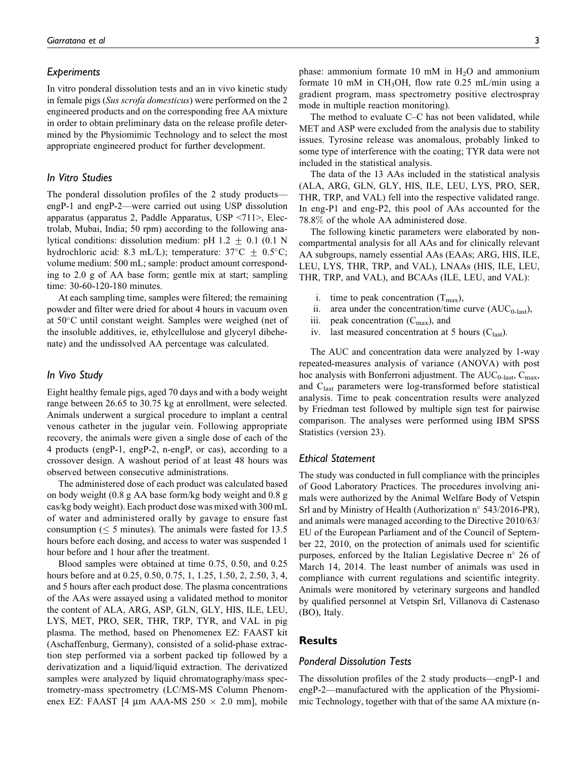#### **Experiments**

In vitro ponderal dissolution tests and an in vivo kinetic study in female pigs (Sus scrofa domesticus) were performed on the 2 engineered products and on the corresponding free AA mixture in order to obtain preliminary data on the release profile determined by the Physiomimic Technology and to select the most appropriate engineered product for further development.

## In Vitro Studies

The ponderal dissolution profiles of the 2 study products engP-1 and engP-2—were carried out using USP dissolution apparatus (apparatus 2, Paddle Apparatus, USP <711>, Electrolab, Mubai, India; 50 rpm) according to the following analytical conditions: dissolution medium: pH 1.2  $\pm$  0.1 (0.1 N hydrochloric acid: 8.3 mL/L); temperature:  $37^{\circ}$ C  $\pm$  0.5°C; volume medium: 500 mL; sample: product amount corresponding to 2.0 g of AA base form; gentle mix at start; sampling time: 30-60-120-180 minutes.

At each sampling time, samples were filtered; the remaining powder and filter were dried for about 4 hours in vacuum oven at 50°C until constant weight. Samples were weighed (net of the insoluble additives, ie, ethylcellulose and glyceryl dibehenate) and the undissolved AA percentage was calculated.

## In Vivo Study

Eight healthy female pigs, aged 70 days and with a body weight range between 26.65 to 30.75 kg at enrollment, were selected. Animals underwent a surgical procedure to implant a central venous catheter in the jugular vein. Following appropriate recovery, the animals were given a single dose of each of the 4 products (engP-1, engP-2, n-engP, or cas), according to a crossover design. A washout period of at least 48 hours was observed between consecutive administrations.

The administered dose of each product was calculated based on body weight (0.8 g AA base form/kg body weight and 0.8 g cas/kg body weight). Each product dose was mixed with 300 mL of water and administered orally by gavage to ensure fast consumption ( $\leq$  5 minutes). The animals were fasted for 13.5 hours before each dosing, and access to water was suspended 1 hour before and 1 hour after the treatment.

Blood samples were obtained at time 0.75, 0.50, and 0.25 hours before and at 0.25, 0.50, 0.75, 1, 1.25, 1.50, 2, 2.50, 3, 4, and 5 hours after each product dose. The plasma concentrations of the AAs were assayed using a validated method to monitor the content of ALA, ARG, ASP, GLN, GLY, HIS, ILE, LEU, LYS, MET, PRO, SER, THR, TRP, TYR, and VAL in pig plasma. The method, based on Phenomenex EZ: FAAST kit (Aschaffenburg, Germany), consisted of a solid-phase extraction step performed via a sorbent packed tip followed by a derivatization and a liquid/liquid extraction. The derivatized samples were analyzed by liquid chromatography/mass spectrometry-mass spectrometry (LC/MS-MS Column Phenomenex EZ: FAAST [4  $\mu$ m AAA-MS 250  $\times$  2.0 mm], mobile phase: ammonium formate 10 mM in  $H_2O$  and ammonium formate 10 mM in CH<sub>3</sub>OH, flow rate 0.25 mL/min using a gradient program, mass spectrometry positive electrospray mode in multiple reaction monitoring).

The method to evaluate C–C has not been validated, while MET and ASP were excluded from the analysis due to stability issues. Tyrosine release was anomalous, probably linked to some type of interference with the coating; TYR data were not included in the statistical analysis.

The data of the 13 AAs included in the statistical analysis (ALA, ARG, GLN, GLY, HIS, ILE, LEU, LYS, PRO, SER, THR, TRP, and VAL) fell into the respective validated range. In eng-P1 and eng-P2, this pool of AAs accounted for the 78.8% of the whole AA administered dose.

The following kinetic parameters were elaborated by noncompartmental analysis for all AAs and for clinically relevant AA subgroups, namely essential AAs (EAAs; ARG, HIS, ILE, LEU, LYS, THR, TRP, and VAL), LNAAs (HIS, ILE, LEU, THR, TRP, and VAL), and BCAAs (ILE, LEU, and VAL):

- i. time to peak concentration  $(T_{\text{max}})$ ,
- ii. area under the concentration/time curve  $(AUC_{0\text{-last}})$ ,
- iii. peak concentration  $(C_{\text{max}})$ , and
- iv. last measured concentration at 5 hours  $(C_{\text{last}})$ .

The AUC and concentration data were analyzed by 1-way repeated-measures analysis of variance (ANOVA) with post hoc analysis with Bonferroni adjustment. The  $AUC_{0-{\text{last}}}, C_{\text{max}}$ , and C<sub>last</sub> parameters were log-transformed before statistical analysis. Time to peak concentration results were analyzed by Friedman test followed by multiple sign test for pairwise comparison. The analyses were performed using IBM SPSS Statistics (version 23).

#### Ethical Statement

The study was conducted in full compliance with the principles of Good Laboratory Practices. The procedures involving animals were authorized by the Animal Welfare Body of Vetspin Srl and by Ministry of Health (Authorization n° 543/2016-PR), and animals were managed according to the Directive 2010/63/ EU of the European Parliament and of the Council of September 22, 2010, on the protection of animals used for scientific purposes, enforced by the Italian Legislative Decree n° 26 of March 14, 2014. The least number of animals was used in compliance with current regulations and scientific integrity. Animals were monitored by veterinary surgeons and handled by qualified personnel at Vetspin Srl, Villanova di Castenaso (BO), Italy.

## Results

#### Ponderal Dissolution Tests

The dissolution profiles of the 2 study products—engP-1 and engP-2—manufactured with the application of the Physiomimic Technology, together with that of the same AA mixture (n-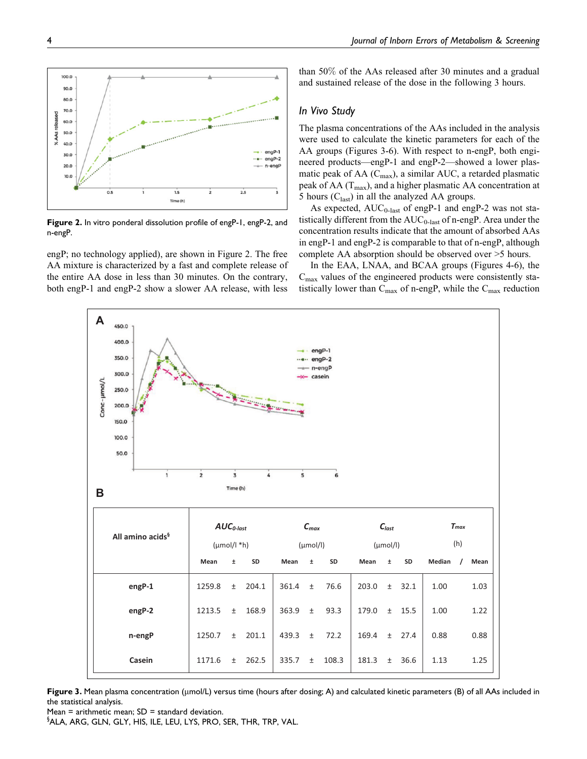

Figure 2. In vitro ponderal dissolution profile of engP-1, engP-2, and n-engP.

engP; no technology applied), are shown in Figure 2. The free AA mixture is characterized by a fast and complete release of the entire AA dose in less than 30 minutes. On the contrary, both engP-1 and engP-2 show a slower AA release, with less than 50% of the AAs released after 30 minutes and a gradual and sustained release of the dose in the following 3 hours.

## In Vivo Study

The plasma concentrations of the AAs included in the analysis were used to calculate the kinetic parameters for each of the AA groups (Figures 3-6). With respect to n-engP, both engineered products—engP-1 and engP-2—showed a lower plasmatic peak of AA  $(C_{\text{max}})$ , a similar AUC, a retarded plasmatic peak of AA  $(T<sub>max</sub>)$ , and a higher plasmatic AA concentration at 5 hours  $(C_{last})$  in all the analyzed AA groups.

As expected,  $AUC_{0-{\rm last}}$  of engP-1 and engP-2 was not statistically different from the  $AUC_{0-{\rm last}}$  of n-engP. Area under the concentration results indicate that the amount of absorbed AAs in engP-1 and engP-2 is comparable to that of n-engP, although complete AA absorption should be observed over >5 hours.

In the EAA, LNAA, and BCAA groups (Figures 4-6), the  $C_{\text{max}}$  values of the engineered products were consistently statistically lower than  $C_{\text{max}}$  of n-engP, while the  $C_{\text{max}}$  reduction



Figure 3. Mean plasma concentration ( $\mu$ mol/L) versus time (hours after dosing; A) and calculated kinetic parameters (B) of all AAs included in the statistical analysis.

Mean = arithmetic mean;  $SD =$  standard deviation.

 $\S$ ALA, ARG, GLN, GLY, HIS, ILE, LEU, LYS, PRO, SER, THR, TRP, VAL.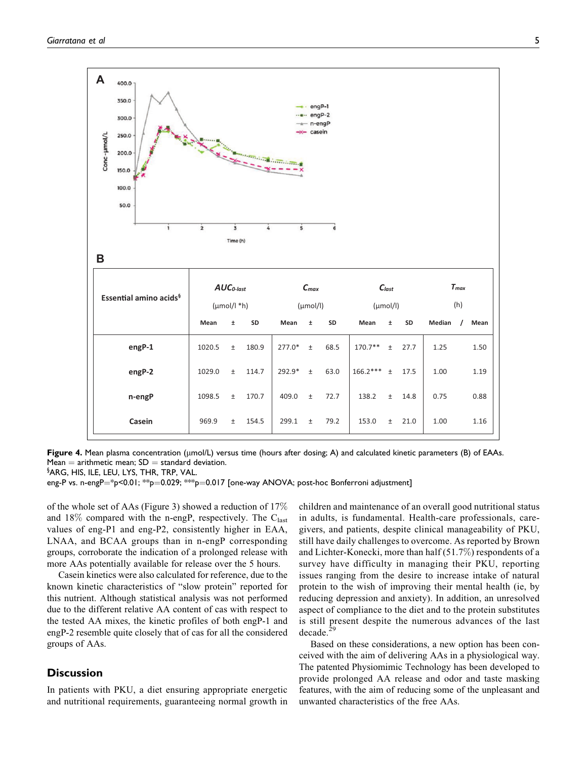

Figure 4. Mean plasma concentration ( $\mu$ mol/L) versus time (hours after dosing; A) and calculated kinetic parameters (B) of EAAs. Mean  $=$  arithmetic mean; SD  $=$  standard deviation.

 $\S$ ARG, HIS, ILE, LEU, LYS, THR, TRP, VAL.

eng-P vs. n-engP $=$ \*p<0.01; \*\*p $=$ 0.029; \*\*p $=$ 0.017 [one-way ANOVA; post-hoc Bonferroni adjustment]

of the whole set of AAs (Figure 3) showed a reduction of 17% and 18% compared with the n-engP, respectively. The  $C_{last}$ values of eng-P1 and eng-P2, consistently higher in EAA, LNAA, and BCAA groups than in n-engP corresponding groups, corroborate the indication of a prolonged release with more AAs potentially available for release over the 5 hours.

Casein kinetics were also calculated for reference, due to the known kinetic characteristics of "slow protein" reported for this nutrient. Although statistical analysis was not performed due to the different relative AA content of cas with respect to the tested AA mixes, the kinetic profiles of both engP-1 and engP-2 resemble quite closely that of cas for all the considered groups of AAs.

## **Discussion**

In patients with PKU, a diet ensuring appropriate energetic and nutritional requirements, guaranteeing normal growth in

children and maintenance of an overall good nutritional status in adults, is fundamental. Health-care professionals, caregivers, and patients, despite clinical manageability of PKU, still have daily challenges to overcome. As reported by Brown and Lichter-Konecki, more than half (51.7%) respondents of a survey have difficulty in managing their PKU, reporting issues ranging from the desire to increase intake of natural protein to the wish of improving their mental health (ie, by reducing depression and anxiety). In addition, an unresolved aspect of compliance to the diet and to the protein substitutes is still present despite the numerous advances of the last decade.<sup>29</sup>

Based on these considerations, a new option has been conceived with the aim of delivering AAs in a physiological way. The patented Physiomimic Technology has been developed to provide prolonged AA release and odor and taste masking features, with the aim of reducing some of the unpleasant and unwanted characteristics of the free AAs.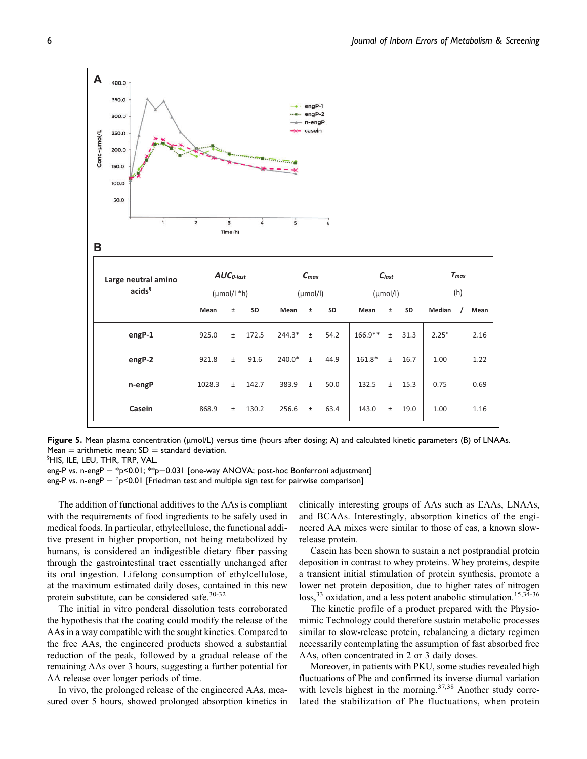

Figure 5. Mean plasma concentration ( $\mu$ mol/L) versus time (hours after dosing; A) and calculated kinetic parameters (B) of LNAAs. Mean  $=$  arithmetic mean; SD  $=$  standard deviation.

 $^{\S}$ HIS, ILE, LEU, THR, TRP, VAL.

eng-P vs. n-eng $P = *p < 0.01; **p = 0.031$  [one-way ANOVA; post-hoc Bonferroni adjustment]

eng-P vs. n-eng $P = \degree p < 0.01$  [Friedman test and multiple sign test for pairwise comparison]

The addition of functional additives to the AAs is compliant with the requirements of food ingredients to be safely used in medical foods. In particular, ethylcellulose, the functional additive present in higher proportion, not being metabolized by humans, is considered an indigestible dietary fiber passing through the gastrointestinal tract essentially unchanged after its oral ingestion. Lifelong consumption of ethylcellulose, at the maximum estimated daily doses, contained in this new protein substitute, can be considered safe. $30-32$ 

The initial in vitro ponderal dissolution tests corroborated the hypothesis that the coating could modify the release of the AAs in a way compatible with the sought kinetics. Compared to the free AAs, the engineered products showed a substantial reduction of the peak, followed by a gradual release of the remaining AAs over 3 hours, suggesting a further potential for AA release over longer periods of time.

In vivo, the prolonged release of the engineered AAs, measured over 5 hours, showed prolonged absorption kinetics in

clinically interesting groups of AAs such as EAAs, LNAAs, and BCAAs. Interestingly, absorption kinetics of the engineered AA mixes were similar to those of cas, a known slowrelease protein.

Casein has been shown to sustain a net postprandial protein deposition in contrast to whey proteins. Whey proteins, despite a transient initial stimulation of protein synthesis, promote a lower net protein deposition, due to higher rates of nitrogen  $loss<sup>33</sup>$  oxidation, and a less potent anabolic stimulation.<sup>15,34-36</sup>

The kinetic profile of a product prepared with the Physiomimic Technology could therefore sustain metabolic processes similar to slow-release protein, rebalancing a dietary regimen necessarily contemplating the assumption of fast absorbed free AAs, often concentrated in 2 or 3 daily doses.

Moreover, in patients with PKU, some studies revealed high fluctuations of Phe and confirmed its inverse diurnal variation with levels highest in the morning. $37,38$  Another study correlated the stabilization of Phe fluctuations, when protein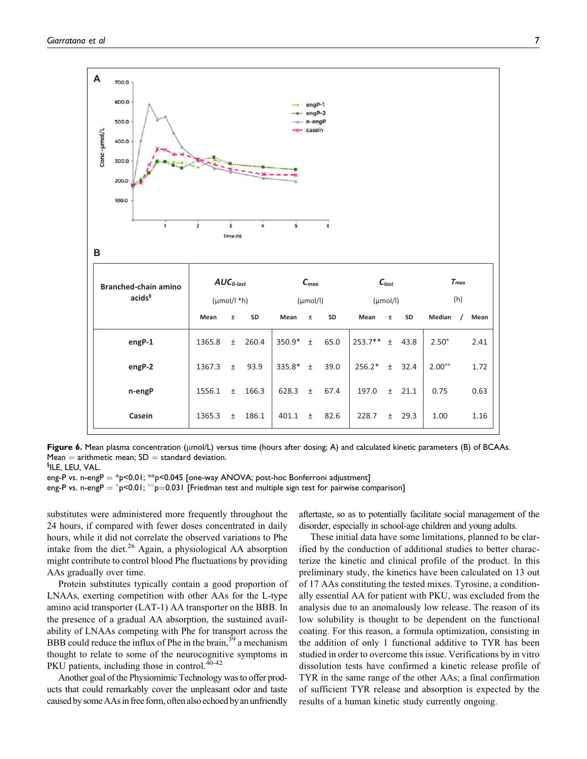

Figure 6. Mean plasma concentration ( $\mu$ mol/L) versus time (hours after dosing; A) and calculated kinetic parameters (B) of BCAAs. Mean  $=$  arithmetic mean; SD  $=$  standard deviation.

§ ILE, LEU, VAL.

eng-P vs. n-eng $P = *p < 0.01; **p < 0.045$  [one-way ANOVA; post-hoc Bonferroni adjustment]

eng-P vs. n-engP  $=$   $^{\circ}$ p<0.01;  $^{\circ}$ p $=$ 0.031 [Friedman test and multiple sign test for pairwise comparison]

substitutes were administered more frequently throughout the 24 hours, if compared with fewer doses concentrated in daily hours, while it did not correlate the observed variations to Phe intake from the diet. $^{26}$  Again, a physiological AA absorption might contribute to control blood Phe fluctuations by providing AAs gradually over time.

Protein substitutes typically contain a good proportion of LNAAs, exerting competition with other AAs for the L-type amino acid transporter (LAT-1) AA transporter on the BBB. In the presence of a gradual AA absorption, the sustained availability of LNAAs competing with Phe for transport across the BBB could reduce the influx of Phe in the brain,  $39^{\circ}$  a mechanism thought to relate to some of the neurocognitive symptoms in PKU patients, including those in control.<sup>40-42</sup>

Another goal of the Physiomimic Technology was to offer products that could remarkably cover the unpleasant odor and taste caused by some AAsin free form, often also echoed by an unfriendly aftertaste, so as to potentially facilitate social management of the disorder, especially in school-age children and young adults.

These initial data have some limitations, planned to be clarified by the conduction of additional studies to better characterize the kinetic and clinical profile of the product. In this preliminary study, the kinetics have been calculated on 13 out of 17 AAs constituting the tested mixes. Tyrosine, a conditionally essential AA for patient with PKU, was excluded from the analysis due to an anomalously low release. The reason of its low solubility is thought to be dependent on the functional coating. For this reason, a formula optimization, consisting in the addition of only 1 functional additive to TYR has been studied in order to overcome this issue. Verifications by in vitro dissolution tests have confirmed a kinetic release profile of TYR in the same range of the other AAs; a final confirmation of sufficient TYR release and absorption is expected by the results of a human kinetic study currently ongoing.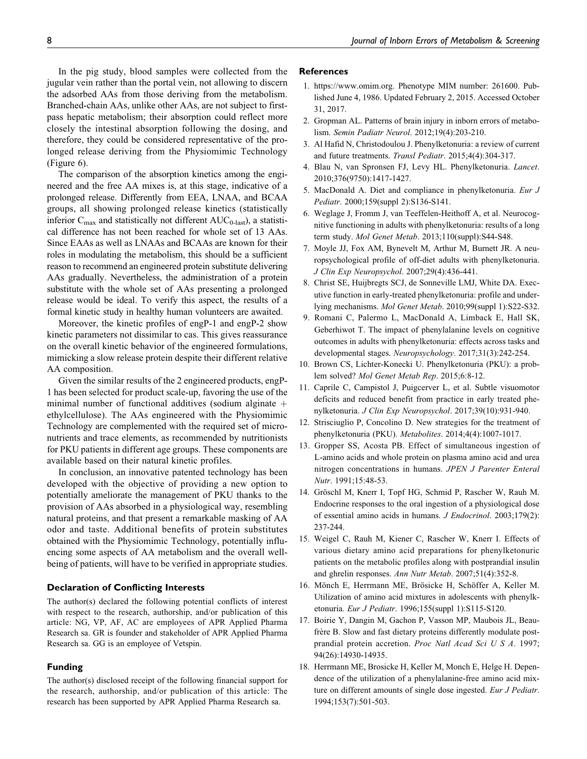In the pig study, blood samples were collected from the jugular vein rather than the portal vein, not allowing to discern the adsorbed AAs from those deriving from the metabolism. Branched-chain AAs, unlike other AAs, are not subject to firstpass hepatic metabolism; their absorption could reflect more closely the intestinal absorption following the dosing, and therefore, they could be considered representative of the prolonged release deriving from the Physiomimic Technology (Figure 6).

The comparison of the absorption kinetics among the engineered and the free AA mixes is, at this stage, indicative of a prolonged release. Differently from EEA, LNAA, and BCAA groups, all showing prolonged release kinetics (statistically inferior  $C_{\text{max}}$  and statistically not different  $AUC_{0\text{-last}}$ ), a statistical difference has not been reached for whole set of 13 AAs. Since EAAs as well as LNAAs and BCAAs are known for their roles in modulating the metabolism, this should be a sufficient reason to recommend an engineered protein substitute delivering AAs gradually. Nevertheless, the administration of a protein substitute with the whole set of AAs presenting a prolonged release would be ideal. To verify this aspect, the results of a formal kinetic study in healthy human volunteers are awaited.

Moreover, the kinetic profiles of engP-1 and engP-2 show kinetic parameters not dissimilar to cas. This gives reassurance on the overall kinetic behavior of the engineered formulations, mimicking a slow release protein despite their different relative AA composition.

Given the similar results of the 2 engineered products, engP-1 has been selected for product scale-up, favoring the use of the minimal number of functional additives (sodium alginate  $+$ ethylcellulose). The AAs engineered with the Physiomimic Technology are complemented with the required set of micronutrients and trace elements, as recommended by nutritionists for PKU patients in different age groups. These components are available based on their natural kinetic profiles.

In conclusion, an innovative patented technology has been developed with the objective of providing a new option to potentially ameliorate the management of PKU thanks to the provision of AAs absorbed in a physiological way, resembling natural proteins, and that present a remarkable masking of AA odor and taste. Additional benefits of protein substitutes obtained with the Physiomimic Technology, potentially influencing some aspects of AA metabolism and the overall wellbeing of patients, will have to be verified in appropriate studies.

#### Declaration of Conflicting Interests

The author(s) declared the following potential conflicts of interest with respect to the research, authorship, and/or publication of this article: NG, VP, AF, AC are employees of APR Applied Pharma Research sa. GR is founder and stakeholder of APR Applied Pharma Research sa. GG is an employee of Vetspin.

#### Funding

The author(s) disclosed receipt of the following financial support for the research, authorship, and/or publication of this article: The research has been supported by APR Applied Pharma Research sa.

#### References

- 1. [https://www.omim.org.](https://www.omim.org) Phenotype MIM number: 261600. Published June 4, 1986. Updated February 2, 2015. Accessed October 31, 2017.
- 2. Gropman AL. Patterns of brain injury in inborn errors of metabolism. Semin Padiatr Neurol. 2012;19(4):203-210.
- 3. Al Hafid N, Christodoulou J. Phenylketonuria: a review of current and future treatments. Transl Pediatr. 2015;4(4):304-317.
- 4. Blau N, van Spronsen FJ, Levy HL. Phenylketonuria. Lancet. 2010;376(9750):1417-1427.
- 5. MacDonald A. Diet and compliance in phenylketonuria. Eur J Pediatr. 2000;159(suppl 2):S136-S141.
- 6. Weglage J, Fromm J, van Teeffelen-Heithoff A, et al. Neurocognitive functioning in adults with phenylketonuria: results of a long term study. Mol Genet Metab. 2013;110(suppl):S44-S48.
- 7. Moyle JJ, Fox AM, Bynevelt M, Arthur M, Burnett JR. A neuropsychological profile of off-diet adults with phenylketonuria. J Clin Exp Neuropsychol. 2007;29(4):436-441.
- 8. Christ SE, Huijbregts SCJ, de Sonneville LMJ, White DA. Executive function in early-treated phenylketonuria: profile and underlying mechanisms. Mol Genet Metab. 2010;99(suppl 1):S22-S32.
- 9. Romani C, Palermo L, MacDonald A, Limback E, Hall SK, Geberhiwot T. The impact of phenylalanine levels on cognitive outcomes in adults with phenylketonuria: effects across tasks and developmental stages. Neuropsychology. 2017;31(3):242-254.
- 10. Brown CS, Lichter-Konecki U. Phenylketonuria (PKU): a problem solved? Mol Genet Metab Rep. 2015;6:8-12.
- 11. Caprile C, Campistol J, Puigcerver L, et al. Subtle visuomotor deficits and reduced benefit from practice in early treated phenylketonuria. J Clin Exp Neuropsychol. 2017;39(10):931-940.
- 12. Strisciuglio P, Concolino D. New strategies for the treatment of phenylketonuria (PKU). Metabolites. 2014;4(4):1007-1017.
- 13. Gropper SS, Acosta PB. Effect of simultaneous ingestion of L-amino acids and whole protein on plasma amino acid and urea nitrogen concentrations in humans. JPEN J Parenter Enteral Nutr. 1991;15:48-53.
- 14. Gröschl M, Knerr I, Topf HG, Schmid P, Rascher W, Rauh M. Endocrine responses to the oral ingestion of a physiological dose of essential amino acids in humans. J Endocrinol. 2003;179(2): 237-244.
- 15. Weigel C, Rauh M, Kiener C, Rascher W, Knerr I. Effects of various dietary amino acid preparations for phenylketonuric patients on the metabolic profiles along with postprandial insulin and ghrelin responses. Ann Nutr Metab. 2007;51(4):352-8.
- 16. Mönch E, Herrmann ME, Brösicke H, Schöffer A, Keller M. Utilization of amino acid mixtures in adolescents with phenylketonuria. Eur J Pediatr. 1996;155(suppl 1):S115-S120.
- 17. Boirie Y, Dangin M, Gachon P, Vasson MP, Maubois JL, Beaufrère B. Slow and fast dietary proteins differently modulate postprandial protein accretion. Proc Natl Acad Sci U S A. 1997; 94(26):14930-14935.
- 18. Herrmann ME, Brosicke H, Keller M, Monch E, Helge H. Dependence of the utilization of a phenylalanine-free amino acid mixture on different amounts of single dose ingested. Eur J Pediatr. 1994;153(7):501-503.